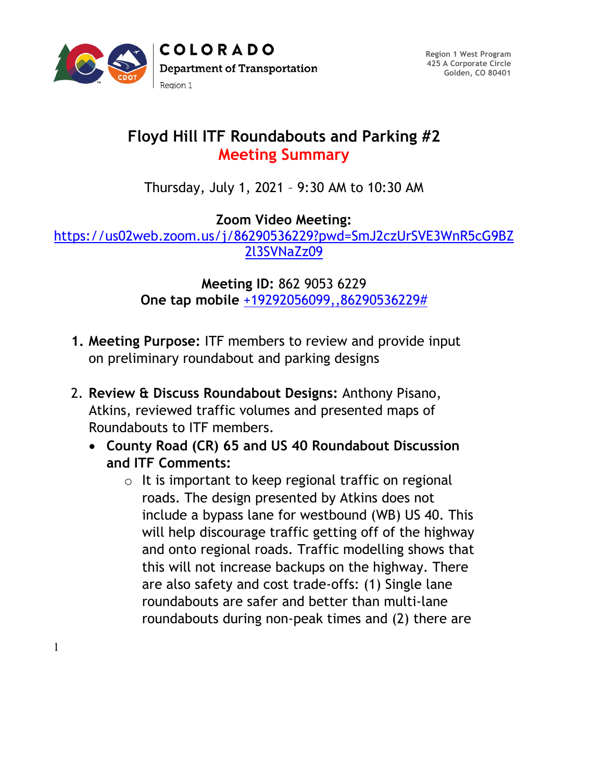

**Region 1 West Program 425 A Corporate Circle Golden, CO 80401**

## **Floyd Hill ITF Roundabouts and Parking #2 Meeting Summary**

Thursday, July 1, 2021 – 9:30 AM to 10:30 AM

**Zoom Video Meeting:** 

[https://us02web.zoom.us/j/86290536229?pwd=SmJ2czUrSVE3WnR5cG9BZ](https://us02web.zoom.us/j/86290536229?pwd=SmJ2czUrSVE3WnR5cG9BZ2l3SVNaZz09) [2l3SVNaZz09](https://us02web.zoom.us/j/86290536229?pwd=SmJ2czUrSVE3WnR5cG9BZ2l3SVNaZz09)

> **Meeting ID:** 862 9053 6229 **One tap mobile** [+19292056099,,86290536229#](tel:+19292056099,,86290536229)

- **1. Meeting Purpose:** ITF members to review and provide input on preliminary roundabout and parking designs
- 2. **Review & Discuss Roundabout Designs:** Anthony Pisano, Atkins, reviewed traffic volumes and presented maps of Roundabouts to ITF members.
	- **County Road (CR) 65 and US 40 Roundabout Discussion and ITF Comments:** 
		- $\circ$  It is important to keep regional traffic on regional roads. The design presented by Atkins does not include a bypass lane for westbound (WB) US 40. This will help discourage traffic getting off of the highway and onto regional roads. Traffic modelling shows that this will not increase backups on the highway. There are also safety and cost trade-offs: (1) Single lane roundabouts are safer and better than multi-lane roundabouts during non-peak times and (2) there are

1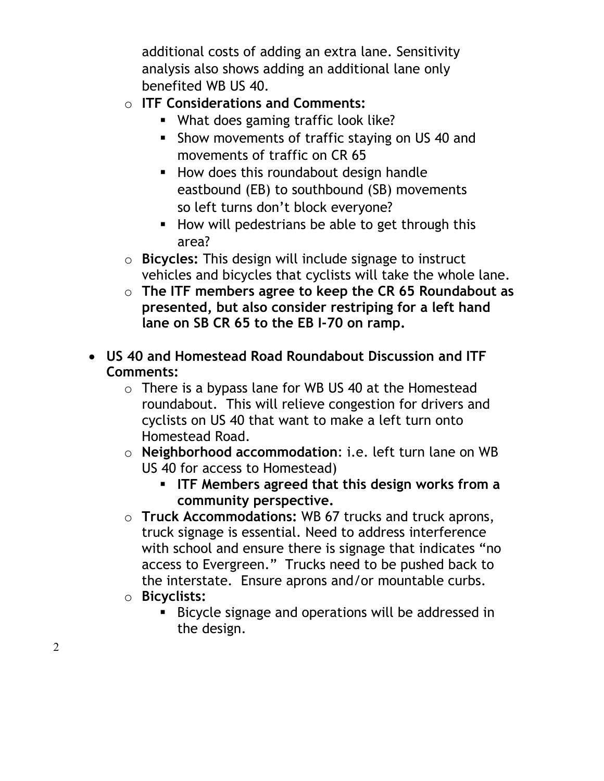additional costs of adding an extra lane. Sensitivity analysis also shows adding an additional lane only benefited WB US 40.

- o **ITF Considerations and Comments:**
	- What does gaming traffic look like?
	- **Show movements of traffic staying on US 40 and** movements of traffic on CR 65
	- **How does this roundabout design handle** eastbound (EB) to southbound (SB) movements so left turns don't block everyone?
	- How will pedestrians be able to get through this area?
- o **Bicycles:** This design will include signage to instruct vehicles and bicycles that cyclists will take the whole lane.
- o **The ITF members agree to keep the CR 65 Roundabout as presented, but also consider restriping for a left hand lane on SB CR 65 to the EB I-70 on ramp.**
- **US 40 and Homestead Road Roundabout Discussion and ITF Comments:**
	- $\circ$  There is a bypass lane for WB US 40 at the Homestead roundabout. This will relieve congestion for drivers and cyclists on US 40 that want to make a left turn onto Homestead Road.
	- o **Neighborhood accommodation**: i.e. left turn lane on WB US 40 for access to Homestead)
		- **ITF Members agreed that this design works from a community perspective.**
	- o **Truck Accommodations:** WB 67 trucks and truck aprons, truck signage is essential. Need to address interference with school and ensure there is signage that indicates "no access to Evergreen." Trucks need to be pushed back to the interstate. Ensure aprons and/or mountable curbs.
	- o **Bicyclists:**
		- Bicycle signage and operations will be addressed in the design.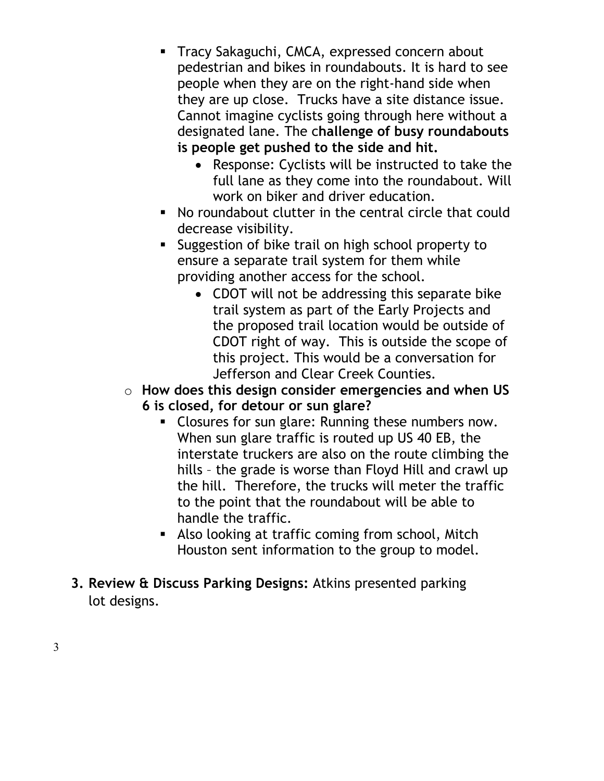- Tracy Sakaguchi, CMCA, expressed concern about pedestrian and bikes in roundabouts. It is hard to see people when they are on the right-hand side when they are up close. Trucks have a site distance issue. Cannot imagine cyclists going through here without a designated lane. The c**hallenge of busy roundabouts is people get pushed to the side and hit.** 
	- Response: Cyclists will be instructed to take the full lane as they come into the roundabout. Will work on biker and driver education.
- No roundabout clutter in the central circle that could decrease visibility.
- Suggestion of bike trail on high school property to ensure a separate trail system for them while providing another access for the school.
	- CDOT will not be addressing this separate bike trail system as part of the Early Projects and the proposed trail location would be outside of CDOT right of way. This is outside the scope of this project. This would be a conversation for Jefferson and Clear Creek Counties.
- o **How does this design consider emergencies and when US 6 is closed, for detour or sun glare?**
	- **Closures for sun glare: Running these numbers now.** When sun glare traffic is routed up US 40 EB, the interstate truckers are also on the route climbing the hills – the grade is worse than Floyd Hill and crawl up the hill. Therefore, the trucks will meter the traffic to the point that the roundabout will be able to handle the traffic.
	- **Also looking at traffic coming from school, Mitch** Houston sent information to the group to model.
- **3. Review & Discuss Parking Designs:** Atkins presented parking lot designs.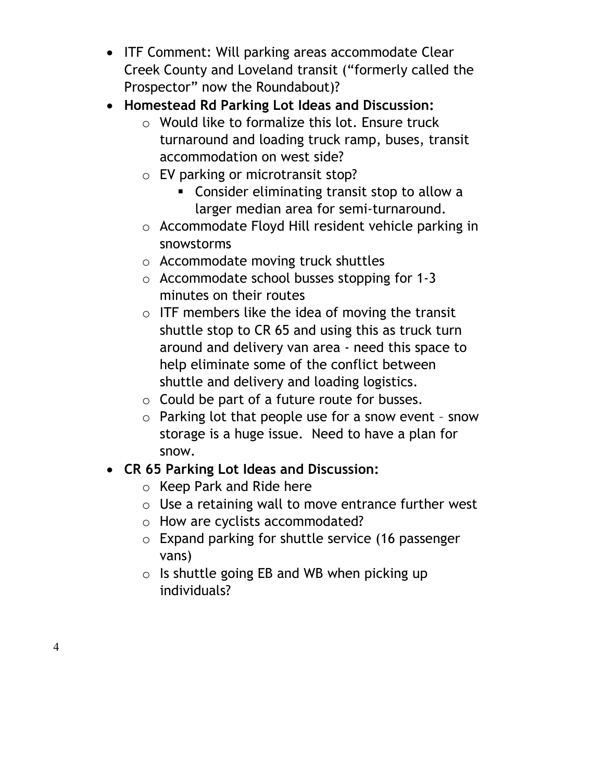- ITF Comment: Will parking areas accommodate Clear Creek County and Loveland transit ("formerly called the Prospector" now the Roundabout)?
- **Homestead Rd Parking Lot Ideas and Discussion:** 
	- o Would like to formalize this lot. Ensure truck turnaround and loading truck ramp, buses, transit accommodation on west side?
	- o EV parking or microtransit stop?
		- Consider eliminating transit stop to allow a larger median area for semi-turnaround.
	- o Accommodate Floyd Hill resident vehicle parking in snowstorms
	- o Accommodate moving truck shuttles
	- o Accommodate school busses stopping for 1-3 minutes on their routes
	- o ITF members like the idea of moving the transit shuttle stop to CR 65 and using this as truck turn around and delivery van area - need this space to help eliminate some of the conflict between shuttle and delivery and loading logistics.
	- o Could be part of a future route for busses.
	- o Parking lot that people use for a snow event snow storage is a huge issue. Need to have a plan for snow.

## • **CR 65 Parking Lot Ideas and Discussion:**

- o Keep Park and Ride here
- o Use a retaining wall to move entrance further west
- o How are cyclists accommodated?
- o Expand parking for shuttle service (16 passenger vans)
- o Is shuttle going EB and WB when picking up individuals?